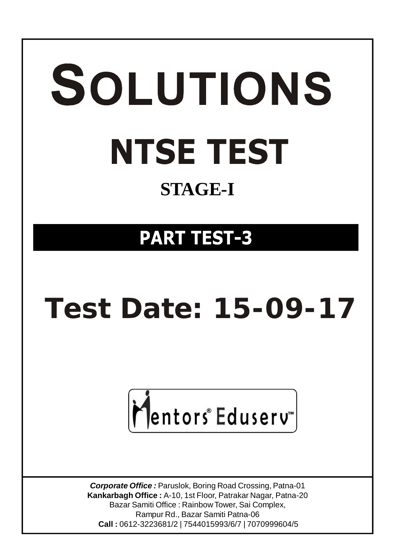# SOLUTIONS **NTSE TEST STAGE-I**

# **PART TEST-3**

# **Test Date: 15-09-17**



*Corporate Office :* Paruslok, Boring Road Crossing, Patna-01 **Kankarbagh Office :** A-10, 1st Floor, Patrakar Nagar, Patna-20 Bazar Samiti Office : Rainbow Tower, Sai Complex, Rampur Rd., Bazar Samiti Patna-06  **Call :** 0612-3223681/2 | 7544015993/6/7 | 7070999604/5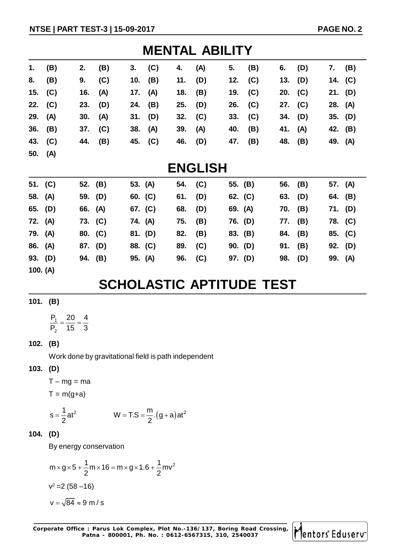| <b>MENTAL ABILITY</b> |           |           |     |         |     |           |     |           |     |           |     |           |     |
|-----------------------|-----------|-----------|-----|---------|-----|-----------|-----|-----------|-----|-----------|-----|-----------|-----|
| 1.                    | (B)       | 2.        | (B) | 3.      | (C) | 4.        | (A) | 5.        | (B) | 6.        | (D) | 7.        | (B) |
| 8.                    | (B)       | 9.        | (C) | 10.     | (B) | 11.       | (D) | 12. $(C)$ |     | 13. $(D)$ |     | 14. $(C)$ |     |
|                       | 15. $(C)$ | 16. $(A)$ |     | 17.     | (A) | 18.       | (B) | 19. $(C)$ |     | 20. (C)   |     | 21. $(D)$ |     |
|                       | 22. $(C)$ | 23. $(D)$ |     | 24. (B) |     | $25.$ (D) |     | 26. (C)   |     | 27. (C)   |     | 28. (A)   |     |
| 29. (A)               |           | 30. (A)   |     | 31. (D) |     | 32. $(C)$ |     | 33.       | (C) | $34.$ (D) |     | 35. (D)   |     |
|                       | $36.$ (B) | 37. $(C)$ |     | 38. (A) |     | 39.       | (A) | 40.       | (B) | 41. (A)   |     | 42. (B)   |     |
|                       | 43. (C)   | 44. (B)   |     | 45. (C) |     | 46.       | (D) | 47.       | (B) | 48. (B)   |     | 49. (A)   |     |
| 50. $(A)$             |           |           |     |         |     |           |     |           |     |           |     |           |     |

## **ENGLISH**

|         | 51. $(C)$ |         | 52. (B) | 53. (A) | 54. (C) |     | 55. (B)   | 56. (B)   |     | 57. (A) |  |
|---------|-----------|---------|---------|---------|---------|-----|-----------|-----------|-----|---------|--|
|         | 58. (A)   |         | 59. (D) | 60. (C) | 61.     | (D) | 62. $(C)$ | 63. $(D)$ |     | 64. (B) |  |
|         | 65. (D)   | 66. (A) |         | 67. (C) | 68.     | (D) | 69. (A)   | 70. (B)   |     | 71. (D) |  |
| 72. (A) |           |         | 73. (C) | 74. (A) | 75.     | (B) | 76. (D)   | 77. (B)   |     | 78. (C) |  |
| 79. (A) |           | 80. (C) |         | 81. (D) | 82.     | (B) | 83. (B)   | 84. (B)   |     | 85. (C) |  |
|         | 86. (A)   | 87. (D) |         | 88. (C) | 89.     | (C) | 90. (D)   | 91.       | (B) | 92. (D) |  |
|         | 93. (D)   | 94. (B) |         | 95. (A) | 96.     | (C) | 97. (D)   | 98. (D)   |     | 99. (A) |  |
|         |           |         |         |         |         |     |           |           |     |         |  |

### **100. (A)**

# **SCHOLASTIC APTITUDE TEST**

**101. (B)**

1 2  $P_1$  20 4  $P_2$  15 3  $=\frac{28}{15}$ 

#### **102. (B)**

Work done by gravitational field is path independent

#### **103. (D)**

 $T - mg = ma$  $T = m(a+a)$ 

$$
I = \Pi(\mathsf{g+a})
$$

$$
s = \frac{1}{2}at^2 \t\t W = T.S = \frac{m}{2}.(g+a)at^2
$$

#### **104. (D)**

By energy conservation

$$
m \times g \times 5 + \frac{1}{2}m \times 16 = m \times g \times 1.6 + \frac{1}{2}mv^{2}
$$
  

$$
v^{2} = 2 (58 - 16)
$$
  

$$
v = \sqrt{84} \approx 9 m/s
$$

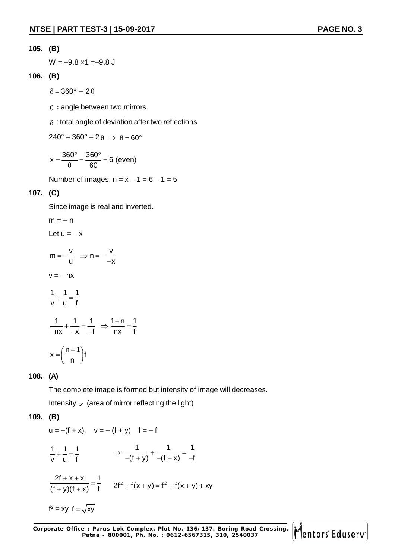$W = -9.8 \times 1 = -9.8 \text{ J}$ 

#### **106. (B)**

 $\delta = 360^\circ - 2\theta$ 

 $\theta$  : angle between two mirrors.

 $\delta$ : total angle of deviation after two reflections.

 $240^\circ = 360^\circ - 200 \implies \theta = 60^\circ$ 

$$
x = \frac{360^{\circ}}{\theta} = \frac{360^{\circ}}{60} = 6 \text{ (even)}
$$

Number of images,  $n = x - 1 = 6 - 1 = 5$ 

#### **107. (C)**

Since image is real and inverted.

$$
m = -n
$$
  
\nLet  $u = -x$   
\n
$$
m = -\frac{v}{u} \implies n = -\frac{v}{-x}
$$
  
\n
$$
v = -nx
$$
  
\n
$$
\frac{1}{v} + \frac{1}{u} = \frac{1}{f}
$$
  
\n
$$
\frac{1}{-nx} + \frac{1}{-x} = \frac{1}{-f} \implies \frac{1+n}{nx} = \frac{1}{f}
$$
  
\n
$$
x = \left(\frac{n+1}{n}\right)f
$$

#### **108. (A)**

The complete image is formed but intensity of image will decreases.

Intensity  $\infty$  (area of mirror reflecting the light)

#### **109. (B)**

u = -(f + x), v = -(f + y) f = -f  
\n
$$
\frac{1}{v} + \frac{1}{u} = \frac{1}{f} \implies \frac{1}{-(f + y)} + \frac{1}{-(f + x)} = \frac{1}{-f}
$$
\n
$$
\frac{2f + x + x}{(f + y)(f + x)} = \frac{1}{f} \qquad 2f^2 + f(x + y) = f^2 + f(x + y) + xy
$$
\n
$$
f^2 = xy f = \sqrt{xy}
$$

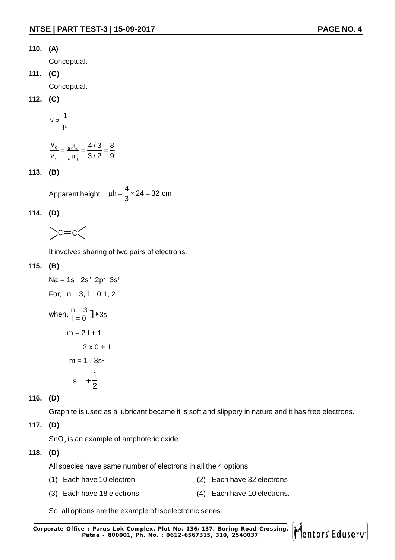#### **110. (A)**

Conceptual.

**111. (C)**

Conceptual.

#### **112. (C)**

$$
v \propto \frac{1}{\mu}
$$

$$
\frac{v_g}{v_{\omega}} = \frac{a \mu_{\omega}}{a \mu_g} = \frac{4/3}{3/2} = \frac{8}{9}
$$

#### **113. (B)**

Apparent height =  $h = \frac{4}{2} \times 24 = 32$  cm 3  $\mu h = - \times 24 = 3$ 

#### **114. (D)**

 $\c = c$ 

It involves sharing of two pairs of electrons.

#### **115. (B)**

```
Na = 1s^2 2s<sup>2</sup> 2p<sup>6</sup> 3s<sup>1</sup>
For, n = 3, l = 0, 1, 2when, \begin{array}{c} n = 3 \\ l = 0 \end{array} +3s
         m = 2 + 1= 2 \times 0 + 1m = 1. 3s<sup>1</sup>
s =1
                        2
                     \ddot{}
```
#### **116. (D)**

Graphite is used as a lubricant became it is soft and slippery in nature and it has free electrons.

#### **117. (D)**

SnO $_{\tiny 2}$  is an example of amphoteric oxide

#### **118. (D)**

All species have same number of electrons in all the 4 options.

- (1) Each have 10 electron (2) Each have 32 electrons
- (3) Each have 18 electrons (4) Each have 10 electrons.

So, all options are the example of isoelectronic series.

**Corporate Office : Parus Lok Complex, Plot No.-136/137, Boring Road Crossing, Patna - 800001, Ph. No. : 0612-6567315, 310, 2540037**

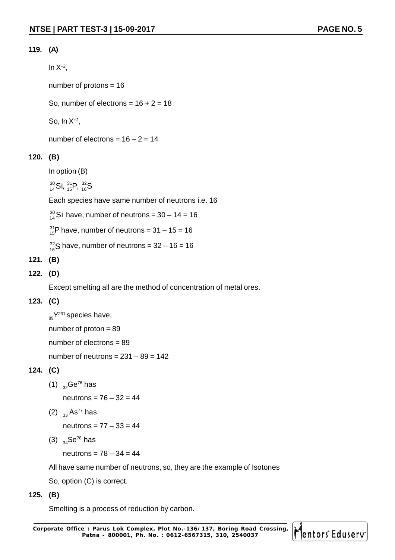#### **119. (A)**

In  $X^{-2}$ ,

number of protons = 16

So, number of electrons =  $16 + 2 = 18$ 

So, In X+2 ,

number of electrons =  $16 - 2 = 14$ 

#### **120. (B)**

```
In option (B)
```
 $^{30}_{14}$ Si,  $^{31}_{15}$ P,  $^{32}_{16}$ S

Each species have same number of neutrons i.e. 16

 $^{30}_{14}$ Si have, number of neutrons = 30 – 14 = 16

 $^{31}_{15}$ P have, number of neutrons = 31 – 15 = 16

 $^{32}_{16}$ S have, number of neutrons = 32 – 16 = 16

#### **121. (B)**

**122. (D)**

Except smelting all are the method of concentration of metal ores.

#### **123. (C)**

 $_{89}Y^{231}$  species have, number of proton = 89 number of electrons = 89 number of neutrons =  $231 - 89 = 142$ 

#### **124. (C)**

(1)  $_{32}$ Ge<sup>76</sup> has

neutrons = 76 – 32 = 44

(2)  $33$  As<sup>77</sup> has

neutrons = 77 – 33 = 44

(3)  $_{34}$ Se<sup>78</sup> has

neutrons = 78 – 34 = 44

All have same number of neutrons, so, they are the example of Isotones

So, option (C) is correct.

#### **125. (B)**

Smelting is a process of reduction by carbon.

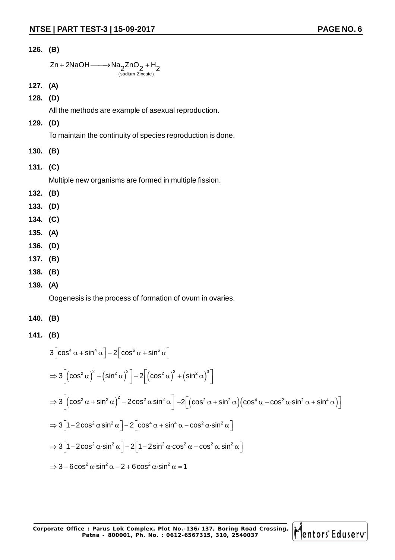$$
Zn + 2NaOH \longrightarrow Na_2ZnO_2 + H_2
$$
  
\n<sub>(sodium Zincate)</sub>

- **127. (A)**
- **128. (D)**

All the methods are example of asexual reproduction.

**129. (D)**

To maintain the continuity of species reproduction is done.

- **130. (B)**
- **131. (C)**

Multiple new organisms are formed in multiple fission.

- **132. (B)**
- **133. (D)**
- **134. (C)**
- **135. (A)**
- **136. (D)**
- **137. (B)**
- **138. (B)**
- **139. (A)**

Oogenesis is the process of formation of ovum in ovaries.

- **140. (B)**
- **141. (B)**

$$
3\left[\cos^4 \alpha + \sin^4 \alpha\right] - 2\left[\cos^6 \alpha + \sin^6 \alpha\right]
$$
  
\n
$$
\Rightarrow 3\left[\left(\cos^2 \alpha\right)^2 + \left(\sin^2 \alpha\right)^2\right] - 2\left[\left(\cos^2 \alpha\right)^3 + \left(\sin^2 \alpha\right)^3\right]
$$
  
\n
$$
\Rightarrow 3\left[\left(\cos^2 \alpha + \sin^2 \alpha\right)^2 - 2\cos^2 \alpha \sin^2 \alpha\right] - 2\left[\left(\cos^2 \alpha + \sin^2 \alpha\right)\left(\cos^4 \alpha - \cos^2 \alpha \sin^2 \alpha + \sin^4 \alpha\right)\right]
$$
  
\n
$$
\Rightarrow 3\left[1 - 2\cos^2 \alpha \sin^2 \alpha\right] - 2\left[\cos^4 \alpha + \sin^4 \alpha - \cos^2 \alpha \sin^2 \alpha\right]
$$
  
\n
$$
\Rightarrow 3\left[1 - 2\cos^2 \alpha \sin^2 \alpha\right] - 2\left[1 - 2\sin^2 \alpha \cos^2 \alpha - \cos^2 \alpha \sin^2 \alpha\right]
$$
  
\n
$$
\Rightarrow 3 - 6\cos^2 \alpha \sin^2 \alpha - 2 + 6\cos^2 \alpha \sin^2 \alpha = 1
$$

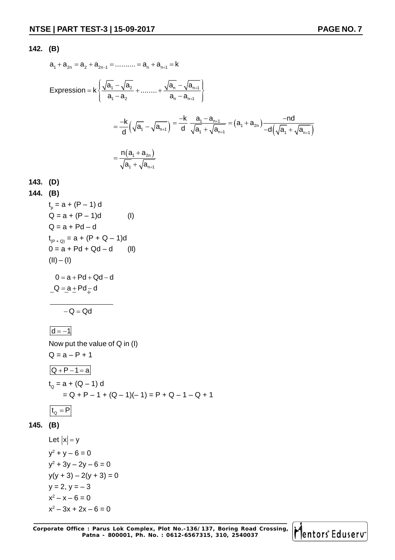$$
a_{1} + a_{2n} = a_{2} + a_{2n-1} = \dots + a_{n} + a_{n+1} = k
$$
\n
$$
Expression = k \left\{ \frac{\sqrt{a_{1}} - \sqrt{a_{2}}}{a_{1} - a_{2}} + \dots + \frac{\sqrt{a_{n}} - \sqrt{a_{n+1}}}{a_{n} - a_{n+1}} \right\}
$$
\n
$$
= \frac{-k}{d} \left( \sqrt{a_{1}} - \sqrt{a_{n+1}} \right) = \frac{-k}{d} \frac{a_{1} - a_{n+1}}{\sqrt{a_{1}} + \sqrt{a_{n+1}}} = (a_{1} + a_{2n}) \frac{-nd}{-d(\sqrt{a_{1}} + \sqrt{a_{n+1}})}
$$
\n
$$
= \frac{n(a_{1} + a_{2n})}{\sqrt{a_{1}} + \sqrt{a_{n+1}}}
$$

$$
143. (D)
$$

144. (B)  
\n
$$
t_p = a + (P - 1) d
$$
 (I)  
\n $Q = a + (P - 1)d$  (I)  
\n $Q = a + Pd - d$   
\n $t_{(P + Q)} = a + (P + Q - 1)d$   
\n $0 = a + Pd + Qd - d$  (II)  
\n(II) – (I)  
\n $0 = a + Pd + Qd - d$   
\n $-Q = a + Pd - d$ 

 $-Q = Qd$ 

 $\boxed{d = -1}$ 

Now put the value of Q in (I)  $Q = a - P + 1$  $\boxed{Q + P - 1 = a}$  $t_{\text{\tiny Q}}$  = a + (Q – 1) d  $= Q + P - 1 + (Q - 1)(-1) = P + Q - 1 - Q + 1$ 

$$
t_{\rm Q} = P
$$

#### **145. (B)**

Let  $|x| = y$  $y^2 + y - 6 = 0$  $y^2 + 3y - 2y - 6 = 0$  $y(y + 3) - 2(y + 3) = 0$  $y = 2, y = -3$  $x^2 - x - 6 = 0$  $x^2 - 3x + 2x - 6 = 0$ 

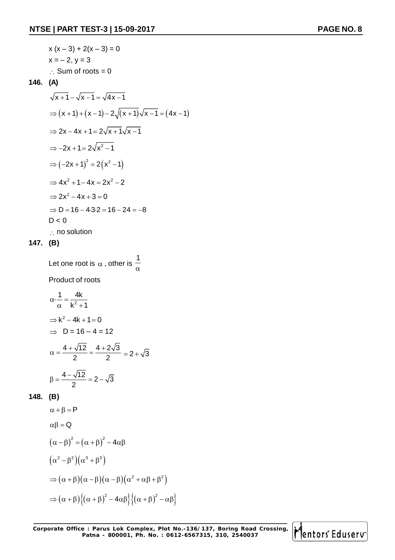$$
x (x-3) + 2(x-3) = 0
$$
  
\n
$$
x = -2, y = 3
$$
  
\n∴ Sum of roots = 0  
\n146. (A)  
\n
$$
\sqrt{x+1} - \sqrt{x-1} = \sqrt{4x-1}
$$
  
\n
$$
\Rightarrow (x+1) + (x-1) - 2\sqrt{(x+1)}\sqrt{x-1} = (4x-1)
$$
  
\n
$$
\Rightarrow 2x - 4x + 1 = 2\sqrt{x+1}\sqrt{x-1}
$$
  
\n
$$
\Rightarrow -2x + 1 = 2\sqrt{x^2 - 1}
$$
  
\n
$$
\Rightarrow (-2x+1)^2 = 2(x^2 - 1)
$$
  
\n
$$
\Rightarrow 4x^2 + 1 - 4x = 2x^2 - 2
$$
  
\n
$$
\Rightarrow 2x^2 - 4x + 3 = 0
$$
  
\n
$$
\Rightarrow D = 16 - 4 \cdot 3 \cdot 2 = 16 - 24 = -8
$$
  
\nD < 0  
\n∴ no solution

Let one root is  $\,\alpha$  , other is 1  $\alpha$ 

Product of roots

$$
\alpha \cdot \frac{1}{\alpha} = \frac{4k}{k^2 + 1}
$$
  
\n
$$
\Rightarrow k^2 - 4k + 1 = 0
$$
  
\n
$$
\Rightarrow D = 16 - 4 = 12
$$
  
\n
$$
\alpha = \frac{4 + \sqrt{12}}{2} = \frac{4 + 2\sqrt{3}}{2} = 2 + \sqrt{3}
$$
  
\n
$$
\beta = \frac{4 - \sqrt{12}}{2} = 2 - \sqrt{3}
$$

#### **148. (B)**

$$
\alpha + \beta = P
$$
  
\n
$$
\alpha\beta = Q
$$
  
\n
$$
(\alpha - \beta)^2 = (\alpha + \beta)^2 - 4\alpha\beta
$$
  
\n
$$
(\alpha^2 - \beta^2)(\alpha^3 + \beta^3)
$$
  
\n
$$
\Rightarrow (\alpha + \beta)(\alpha - \beta)(\alpha - \beta)(\alpha^2 + \alpha\beta + \beta^2)
$$
  
\n
$$
\Rightarrow (\alpha + \beta)\{(\alpha + \beta)^2 - 4\alpha\beta\}\{(\alpha + \beta)^2 - \alpha\beta\}
$$

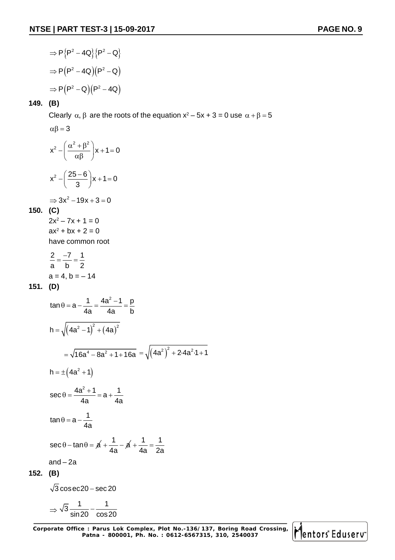$$
\Rightarrow P\{P^2 - 4Q\}\{P^2 - Q\}
$$

$$
\Rightarrow P(P^2 - 4Q)(P^2 - Q)
$$

$$
\Rightarrow P(P^2 - Q)(P^2 - 4Q)
$$

Clearly  $\alpha$ ,  $\beta$  are the roots of the equation  $x^2 - 5x + 3 = 0$  use  $\alpha + \beta = 5$ 

$$
\alpha \beta = 3
$$
  

$$
x^2 - \left(\frac{\alpha^2 + \beta^2}{\alpha \beta}\right) x + 1 = 0
$$
  

$$
x^2 - \left(\frac{25 - 6}{3}\right) x + 1 = 0
$$

$$
\Rightarrow 3x^2 - 19x + 3 = 0
$$

**150. (C)**

 $2x^2 - 7x + 1 = 0$  $ax^2 + bx + 2 = 0$ have common root

$$
\frac{2}{a} = \frac{-7}{b} = \frac{1}{2}
$$
  
a = 4, b = -14

**151. (D)**

$$
\tan \theta = a - \frac{1}{4a} = \frac{4a^2 - 1}{4a} = \frac{p}{b}
$$
  
\n
$$
h = \sqrt{(4a^2 - 1)^2 + (4a)^2}
$$
  
\n
$$
= \sqrt{16a^4 - 8a^2 + 1 + 16a} = \sqrt{(4a^2)^2 + 2 \cdot 4a^2 \cdot 1 + 1}
$$
  
\n
$$
h = \pm (4a^2 + 1)
$$
  
\n
$$
\sec \theta = \frac{4a^2 + 1}{4a} = a + \frac{1}{4a}
$$
  
\n
$$
\tan \theta = a - \frac{1}{4a}
$$
  
\n
$$
\sec \theta - \tan \theta = \cancel{a} + \frac{1}{4a} - \cancel{a} + \frac{1}{4a} = \frac{1}{2a}
$$
  
\nand - 2a  
\n152. (B)  
\n
$$
\sqrt{3} \csc 20 - \sec 20
$$

$$
\Rightarrow \sqrt{3} \frac{1}{\sin 20} - \frac{1}{\cos 20}
$$

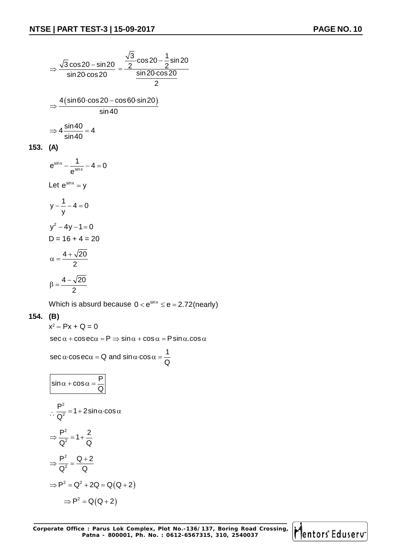$sin 20$ 

$$
\Rightarrow \frac{\sqrt{3}\cos 20 - \sin 20}{\sin 20 \cdot \cos 20} = \frac{\frac{\sqrt{3}}{2} \cdot \cos 20 - \frac{1}{2} \cdot \sin 20 \cdot \cos 20}{\sin 20 \cdot \cos 20}
$$
\n
$$
\Rightarrow \frac{4(\sin 60 \cdot \cos 20 - \cos 60 \cdot \sin 20)}{\sin 40}
$$
\n
$$
\Rightarrow 4\frac{\sin 40}{\sin 40} = 4
$$
\n153. (A)\n
$$
e^{\sin x} - \frac{1}{e^{\sin x}} - 4 = 0
$$
\nLet  $e^{\sin x} = y$   
\n
$$
y - \frac{1}{y} - 4 = 0
$$
\n
$$
y^2 - 4y - 1 = 0
$$
\n
$$
D = 16 + 4 = 20
$$
\n
$$
\alpha = \frac{4 + \sqrt{20}}{2}
$$
\n
$$
\beta = \frac{4 - \sqrt{20}}{2}
$$

Which is absurd because  $0 < e^{\sin x} \le e = 2.72$ (nearly)

#### **154. (B)**

 $x^2 - Px + Q = 0$  $\sec \alpha + \csc \alpha = P \Rightarrow \sin \alpha + \cos \alpha = P \sin \alpha \cdot \cos \alpha$  $\sec \alpha \cdot \cos \alpha = Q$  and  $\sin \alpha \cdot \cos \alpha = \frac{1}{2}$ Q  $\alpha$  cosec $\alpha$  = Q and sin  $\alpha$  cos  $\alpha$  = - $\boxed{\mathsf{P}}$ 

$$
\frac{\sin \alpha + \cos \alpha = \frac{1}{Q}}{\frac{P^2}{Q^2}} = 1 + 2 \sin \alpha \cdot \cos \alpha
$$
  

$$
\Rightarrow \frac{P^2}{Q^2} = 1 + \frac{2}{Q}
$$
  

$$
\Rightarrow \frac{P^2}{Q^2} = \frac{Q + 2}{Q}
$$
  

$$
\Rightarrow P^2 = Q^2 + 2Q = Q(Q + 2)
$$
  

$$
\Rightarrow P^2 = Q(Q + 2)
$$

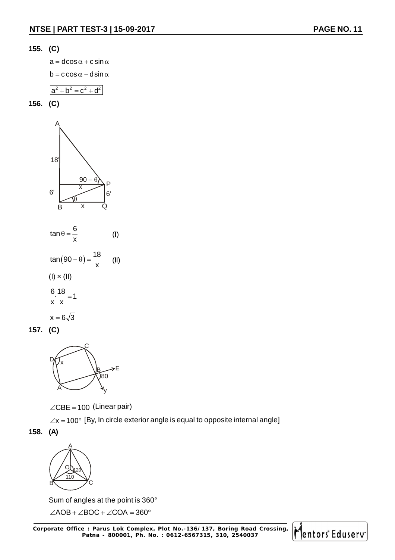

 $a = d\cos \alpha + c \sin \alpha$ 

 $b = c \cos \alpha - d \sin \alpha$ 

$$
a^2 + b^2 = c^2 + d^2
$$





**157. (C)**



 $\angle$ CBE = 100 (Linear pair)

 $\angle x = 100^\circ$  [By, In circle exterior angle is equal to opposite internal angle]

**158. (A)**



Sum of angles at the point is 360°

 $\angle AOB + \angle BOC + \angle COA = 360^\circ$ 

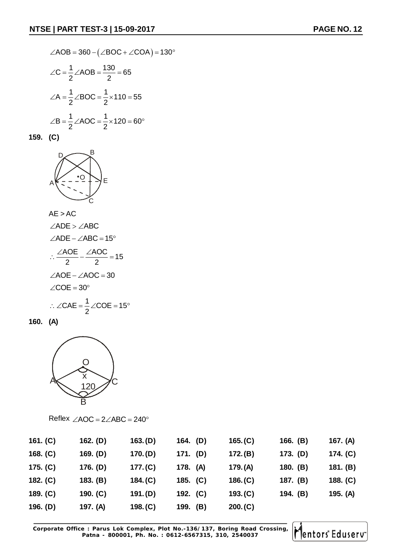$$
\angle AOB = 360 - (\angle BOC + \angle COA) = 130^{\circ}
$$
  

$$
\angle C = \frac{1}{2} \angle AOB = \frac{130}{2} = 65
$$
  

$$
\angle A = \frac{1}{2} \angle BOC = \frac{1}{2} \times 110 = 55
$$
  

$$
\angle B = \frac{1}{2} \angle AOC = \frac{1}{2} \times 120 = 60^{\circ}
$$

**159. (C)**



AE > AC  
\n∠ADE > ∠ABC  
\n∠ADE – ∠ABC = 15°  
\n∴ 
$$
\frac{\angle AOE}{2} - \frac{\angle AOC}{2} = 15
$$
  
\n∠AOE – ∠AOC = 30  
\n∠COE = 30°  
\n∴ ∠CAE =  $\frac{1}{2}$  ∠COE = 15°

**160. (A)**



Reflex  $\angle AOC = 2\angle ABC = 240^\circ$ 

| 161. $(C)$ | 162. (D)   | 163.(D)  | 164. (D) | 165.(C)  | 166. $(B)$ | 167. (A)   |
|------------|------------|----------|----------|----------|------------|------------|
| 168. $(C)$ | 169. (D)   | 170.(D)  | 171. (D) | 172. (B) | 173. (D)   | 174. (C)   |
| 175. $(C)$ | 176. (D)   | 177.(C)  | 178. (A) | 179. (A) | 180. $(B)$ | 181. $(B)$ |
| 182. $(C)$ | 183. (B)   | 184. (C) | 185. (C) | 186. (C) | 187. (B)   | 188. $(C)$ |
| 189. $(C)$ | 190. $(C)$ | 191.(D)  | 192. (C) | 193.(C)  | 194. (B)   | 195. (A)   |
| 196. $(D)$ | 197. (A)   | 198.(C)  | 199. (B) | 200. (C) |            |            |

**Corporate Office : Parus Lok Complex, Plot No.-136/137, Boring Road Crossing, Patna - 800001, Ph. No. : 0612-6567315, 310, 2540037**